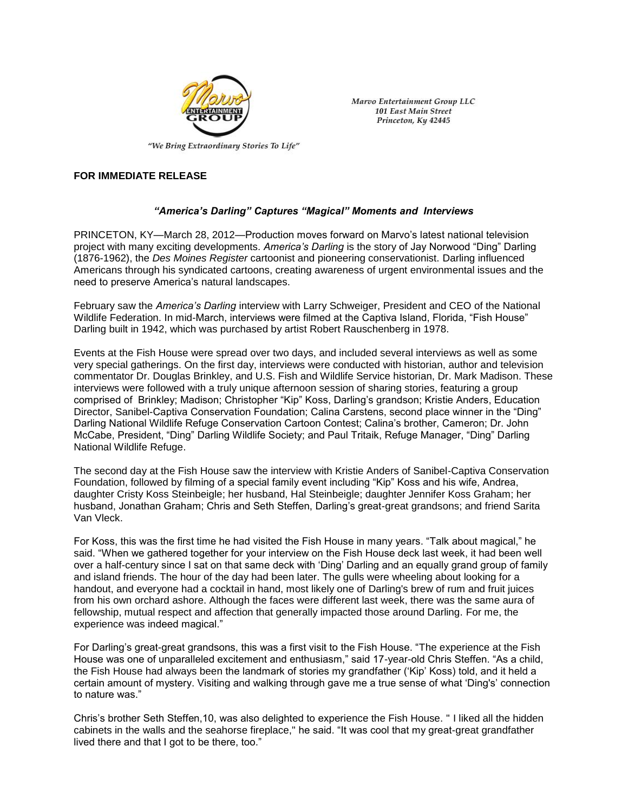

Marvo Entertainment Group LLC **101 East Main Street** Princeton, Ky 42445

## **FOR IMMEDIATE RELEASE**

## *"America's Darling" Captures "Magical" Moments and Interviews*

PRINCETON, KY—March 28, 2012—Production moves forward on Marvo's latest national television project with many exciting developments. *America's Darling* is the story of Jay Norwood "Ding" Darling (1876-1962), the *Des Moines Register* cartoonist and pioneering conservationist. Darling influenced Americans through his syndicated cartoons, creating awareness of urgent environmental issues and the need to preserve America's natural landscapes.

February saw the *America's Darling* interview with Larry Schweiger, President and CEO of the National Wildlife Federation. In mid-March, interviews were filmed at the Captiva Island, Florida, "Fish House" Darling built in 1942, which was purchased by artist Robert Rauschenberg in 1978.

Events at the Fish House were spread over two days, and included several interviews as well as some very special gatherings. On the first day, interviews were conducted with historian, author and television commentator Dr. Douglas Brinkley, and U.S. Fish and Wildlife Service historian, Dr. Mark Madison. These interviews were followed with a truly unique afternoon session of sharing stories, featuring a group comprised of Brinkley; Madison; Christopher "Kip" Koss, Darling's grandson; Kristie Anders, Education Director, Sanibel-Captiva Conservation Foundation; Calina Carstens, second place winner in the "Ding" Darling National Wildlife Refuge Conservation Cartoon Contest; Calina's brother, Cameron; Dr. John McCabe, President, "Ding" Darling Wildlife Society; and Paul Tritaik, Refuge Manager, "Ding" Darling National Wildlife Refuge.

The second day at the Fish House saw the interview with Kristie Anders of Sanibel-Captiva Conservation Foundation, followed by filming of a special family event including "Kip" Koss and his wife, Andrea, daughter Cristy Koss Steinbeigle; her husband, Hal Steinbeigle; daughter Jennifer Koss Graham; her husband, Jonathan Graham; Chris and Seth Steffen, Darling's great-great grandsons; and friend Sarita Van Vleck.

For Koss, this was the first time he had visited the Fish House in many years. "Talk about magical," he said. "When we gathered together for your interview on the Fish House deck last week, it had been well over a half-century since I sat on that same deck with 'Ding' Darling and an equally grand group of family and island friends. The hour of the day had been later. The gulls were wheeling about looking for a handout, and everyone had a cocktail in hand, most likely one of Darling's brew of rum and fruit juices from his own orchard ashore. Although the faces were different last week, there was the same aura of fellowship, mutual respect and affection that generally impacted those around Darling. For me, the experience was indeed magical."

For Darling's great-great grandsons, this was a first visit to the Fish House. "The experience at the Fish House was one of unparalleled excitement and enthusiasm," said 17-year-old Chris Steffen. "As a child, the Fish House had always been the landmark of stories my grandfather ('Kip' Koss) told, and it held a certain amount of mystery. Visiting and walking through gave me a true sense of what 'Ding's' connection to nature was."

Chris's brother Seth Steffen,10, was also delighted to experience the Fish House. " I liked all the hidden cabinets in the walls and the seahorse fireplace," he said. "It was cool that my great-great grandfather lived there and that I got to be there, too."